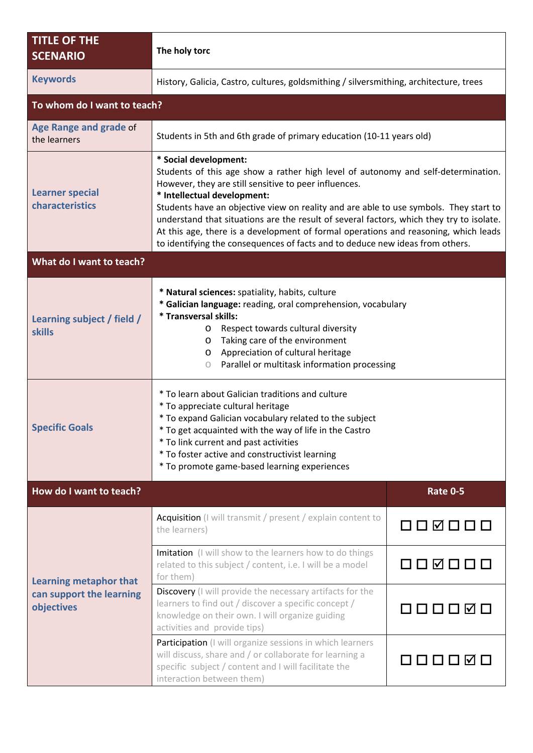| <b>TITLE OF THE</b><br><b>SCENARIO</b>                                  | The holy torc                                                                                                                                                                                                                                                                                                                                                                                                                                                                                                                                                   |                 |  |  |
|-------------------------------------------------------------------------|-----------------------------------------------------------------------------------------------------------------------------------------------------------------------------------------------------------------------------------------------------------------------------------------------------------------------------------------------------------------------------------------------------------------------------------------------------------------------------------------------------------------------------------------------------------------|-----------------|--|--|
| <b>Keywords</b>                                                         | History, Galicia, Castro, cultures, goldsmithing / silversmithing, architecture, trees                                                                                                                                                                                                                                                                                                                                                                                                                                                                          |                 |  |  |
| To whom do I want to teach?                                             |                                                                                                                                                                                                                                                                                                                                                                                                                                                                                                                                                                 |                 |  |  |
| Age Range and grade of<br>the learners                                  | Students in 5th and 6th grade of primary education (10-11 years old)                                                                                                                                                                                                                                                                                                                                                                                                                                                                                            |                 |  |  |
| <b>Learner special</b><br>characteristics                               | * Social development:<br>Students of this age show a rather high level of autonomy and self-determination.<br>However, they are still sensitive to peer influences.<br>* Intellectual development:<br>Students have an objective view on reality and are able to use symbols. They start to<br>understand that situations are the result of several factors, which they try to isolate.<br>At this age, there is a development of formal operations and reasoning, which leads<br>to identifying the consequences of facts and to deduce new ideas from others. |                 |  |  |
| What do I want to teach?                                                |                                                                                                                                                                                                                                                                                                                                                                                                                                                                                                                                                                 |                 |  |  |
| Learning subject / field /<br><b>skills</b>                             | * Natural sciences: spatiality, habits, culture<br>* Galician language: reading, oral comprehension, vocabulary<br>* Transversal skills:<br>Respect towards cultural diversity<br>O<br>Taking care of the environment<br>$\circ$<br>Appreciation of cultural heritage<br>$\circ$<br>Parallel or multitask information processing<br>$\circ$                                                                                                                                                                                                                     |                 |  |  |
| <b>Specific Goals</b>                                                   | * To learn about Galician traditions and culture<br>* To appreciate cultural heritage<br>* To expand Galician vocabulary related to the subject<br>* To get acquainted with the way of life in the Castro<br>* To link current and past activities<br>* To foster active and constructivist learning<br>* To promote game-based learning experiences                                                                                                                                                                                                            |                 |  |  |
| How do I want to teach?                                                 |                                                                                                                                                                                                                                                                                                                                                                                                                                                                                                                                                                 | <b>Rate 0-5</b> |  |  |
| <b>Learning metaphor that</b><br>can support the learning<br>objectives | <b>Acquisition</b> (I will transmit / present / explain content to<br>the learners)                                                                                                                                                                                                                                                                                                                                                                                                                                                                             | 000000          |  |  |
|                                                                         | Imitation (I will show to the learners how to do things<br>related to this subject / content, i.e. I will be a model<br>for them)                                                                                                                                                                                                                                                                                                                                                                                                                               | 000000          |  |  |
|                                                                         | Discovery (I will provide the necessary artifacts for the<br>learners to find out / discover a specific concept /<br>knowledge on their own. I will organize guiding<br>activities and provide tips)                                                                                                                                                                                                                                                                                                                                                            | O O O O Ø O     |  |  |
|                                                                         | Participation (I will organize sessions in which learners<br>will discuss, share and / or collaborate for learning a<br>specific subject / content and I will facilitate the<br>interaction between them)                                                                                                                                                                                                                                                                                                                                                       | 000000          |  |  |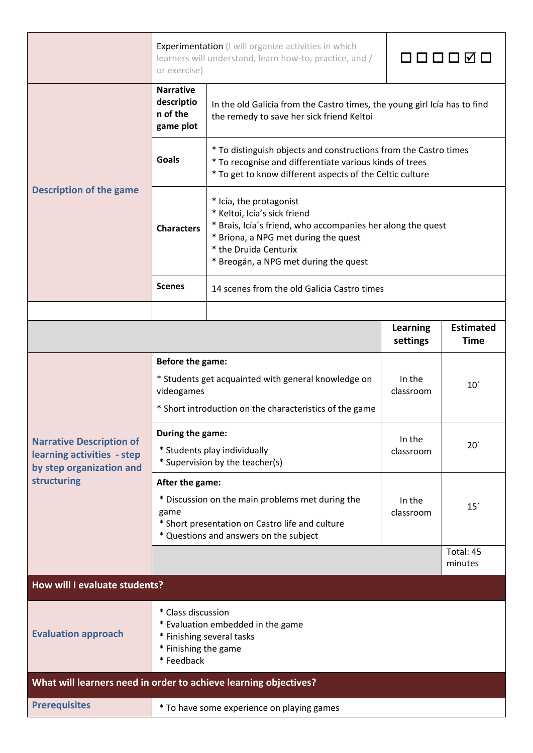|                                                                                                          | Experimentation (I will organize activities in which<br>learners will understand, learn how-to, practice, and /<br>or exercise) |                                                                                                                                                                                                                                  |                             |                                 |  |  |
|----------------------------------------------------------------------------------------------------------|---------------------------------------------------------------------------------------------------------------------------------|----------------------------------------------------------------------------------------------------------------------------------------------------------------------------------------------------------------------------------|-----------------------------|---------------------------------|--|--|
| <b>Description of the game</b>                                                                           | <b>Narrative</b><br>descriptio<br>n of the<br>game plot                                                                         | In the old Galicia from the Castro times, the young girl Icía has to find<br>the remedy to save her sick friend Keltoi                                                                                                           |                             |                                 |  |  |
|                                                                                                          | Goals                                                                                                                           | * To distinguish objects and constructions from the Castro times<br>* To recognise and differentiate various kinds of trees<br>* To get to know different aspects of the Celtic culture                                          |                             |                                 |  |  |
|                                                                                                          | <b>Characters</b>                                                                                                               | * Icía, the protagonist<br>* Keltoi, Icía's sick friend<br>* Brais, Icía's friend, who accompanies her along the quest<br>* Briona, a NPG met during the quest<br>* the Druida Centurix<br>* Breogán, a NPG met during the quest |                             |                                 |  |  |
|                                                                                                          | <b>Scenes</b>                                                                                                                   | 14 scenes from the old Galicia Castro times                                                                                                                                                                                      |                             |                                 |  |  |
|                                                                                                          |                                                                                                                                 |                                                                                                                                                                                                                                  | <b>Learning</b><br>settings | <b>Estimated</b><br><b>Time</b> |  |  |
|                                                                                                          | Before the game:                                                                                                                |                                                                                                                                                                                                                                  |                             |                                 |  |  |
| <b>Narrative Description of</b><br>learning activities - step<br>by step organization and<br>structuring | * Students get acquainted with general knowledge on<br>videogames                                                               |                                                                                                                                                                                                                                  | In the<br>classroom         | 10'                             |  |  |
|                                                                                                          | * Short introduction on the characteristics of the game                                                                         |                                                                                                                                                                                                                                  |                             |                                 |  |  |
|                                                                                                          | During the game:<br>In the                                                                                                      |                                                                                                                                                                                                                                  |                             | 20 <sup>′</sup>                 |  |  |
|                                                                                                          |                                                                                                                                 | * Students play individually<br>* Supervision by the teacher(s)                                                                                                                                                                  | classroom                   |                                 |  |  |
|                                                                                                          | After the game:                                                                                                                 |                                                                                                                                                                                                                                  |                             |                                 |  |  |
|                                                                                                          | * Discussion on the main problems met during the<br>In the<br>classroom<br>game                                                 |                                                                                                                                                                                                                                  |                             | 15'                             |  |  |
|                                                                                                          |                                                                                                                                 | * Short presentation on Castro life and culture<br>* Questions and answers on the subject                                                                                                                                        |                             |                                 |  |  |
|                                                                                                          |                                                                                                                                 |                                                                                                                                                                                                                                  |                             | Total: 45<br>minutes            |  |  |
| How will I evaluate students?                                                                            |                                                                                                                                 |                                                                                                                                                                                                                                  |                             |                                 |  |  |
| <b>Evaluation approach</b>                                                                               | * Class discussion<br>* Evaluation embedded in the game<br>* Finishing several tasks<br>* Finishing the game<br>* Feedback      |                                                                                                                                                                                                                                  |                             |                                 |  |  |
| What will learners need in order to achieve learning objectives?                                         |                                                                                                                                 |                                                                                                                                                                                                                                  |                             |                                 |  |  |
| <b>Prerequisites</b>                                                                                     |                                                                                                                                 | * To have some experience on playing games                                                                                                                                                                                       |                             |                                 |  |  |